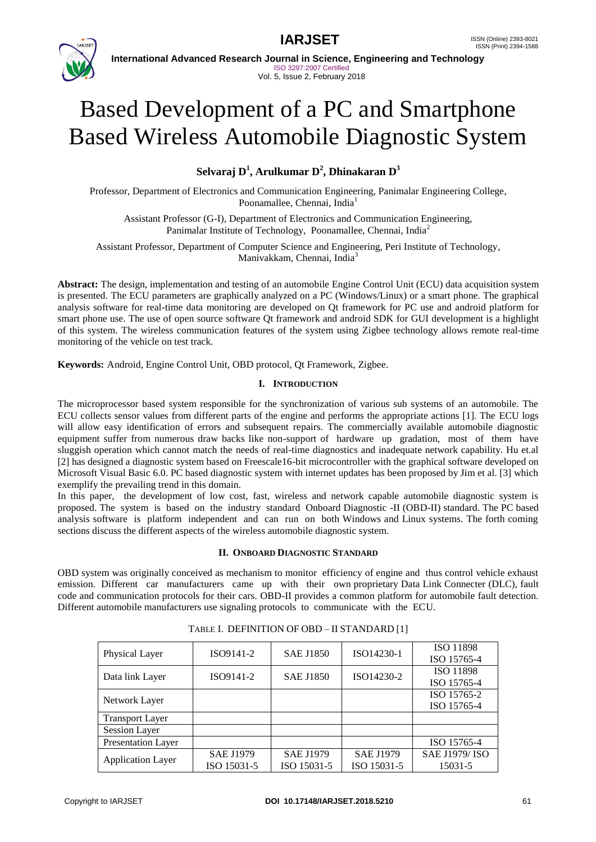



**International Advanced Research Journal in Science, Engineering and Technology** ISO 3297:2007 Certified Vol. 5, Issue 2, February 2018

# Based Development of a PC and Smartphone Based Wireless Automobile Diagnostic System

**Selvaraj D<sup>1</sup> , Arulkumar D<sup>2</sup> , Dhinakaran D<sup>3</sup>**

Professor, Department of Electronics and Communication Engineering, Panimalar Engineering College, Poonamallee, Chennai, India<sup>1</sup>

Assistant Professor (G-I), Department of Electronics and Communication Engineering, Panimalar Institute of Technology, Poonamallee, Chennai, India<sup>2</sup>

Assistant Professor, Department of Computer Science and Engineering, Peri Institute of Technology, Manivakkam, Chennai, India<sup>3</sup>

**Abstract:** The design, implementation and testing of an automobile Engine Control Unit (ECU) data acquisition system is presented. The ECU parameters are graphically analyzed on a PC (Windows/Linux) or a smart phone. The graphical analysis software for real-time data monitoring are developed on Qt framework for PC use and android platform for smart phone use. The use of open source software Qt framework and android SDK for GUI development is a highlight of this system. The wireless communication features of the system using Zigbee technology allows remote real-time monitoring of the vehicle on test track.

**Keywords:** Android, Engine Control Unit, OBD protocol, Qt Framework, Zigbee.

### **I. INTRODUCTION**

The microprocessor based system responsible for the synchronization of various sub systems of an automobile. The ECU collects sensor values from different parts of the engine and performs the appropriate actions [1]. The ECU logs will allow easy identification of errors and subsequent repairs. The commercially available automobile diagnostic equipment suffer from numerous draw backs like non-support of hardware up gradation, most of them have sluggish operation which cannot match the needs of real-time diagnostics and inadequate network capability. Hu et.al [2] has designed a diagnostic system based on Freescale16-bit microcontroller with the graphical software developed on Microsoft Visual Basic 6.0. PC based diagnostic system with internet updates has been proposed by Jim et al. [3] which exemplify the prevailing trend in this domain.

In this paper, the development of low cost, fast, wireless and network capable automobile diagnostic system is proposed. The system is based on the industry standard Onboard Diagnostic -II (OBD-II) standard. The PC based analysis software is platform independent and can run on both Windows and Linux systems. The forth coming sections discuss the different aspects of the wireless automobile diagnostic system.

#### **II. ONBOARD DIAGNOSTIC STANDARD**

OBD system was originally conceived as mechanism to monitor efficiency of engine and thus control vehicle exhaust emission. Different car manufacturers came up with their own proprietary Data Link Connecter (DLC), fault code and communication protocols for their cars. OBD-II provides a common platform for automobile fault detection. Different automobile manufacturers use signaling protocols to communicate with the ECU.

| Physical Layer            | ISO9141-2        | <b>SAE J1850</b> | ISO14230-1       | ISO 11898            |
|---------------------------|------------------|------------------|------------------|----------------------|
|                           |                  |                  |                  | ISO 15765-4          |
| Data link Layer           | ISO9141-2        | <b>SAE J1850</b> | ISO14230-2       | ISO 11898            |
|                           |                  |                  |                  | ISO 15765-4          |
| Network Layer             |                  |                  |                  | ISO 15765-2          |
|                           |                  |                  |                  | ISO 15765-4          |
| <b>Transport Layer</b>    |                  |                  |                  |                      |
| Session Layer             |                  |                  |                  |                      |
| <b>Presentation Layer</b> |                  |                  |                  | ISO 15765-4          |
| <b>Application Layer</b>  | <b>SAE J1979</b> | <b>SAE J1979</b> | <b>SAE J1979</b> | <b>SAE J1979/ISO</b> |
|                           | ISO 15031-5      | ISO 15031-5      | ISO 15031-5      | 15031-5              |

TABLE I. DEFINITION OF OBD – II STANDARD [1]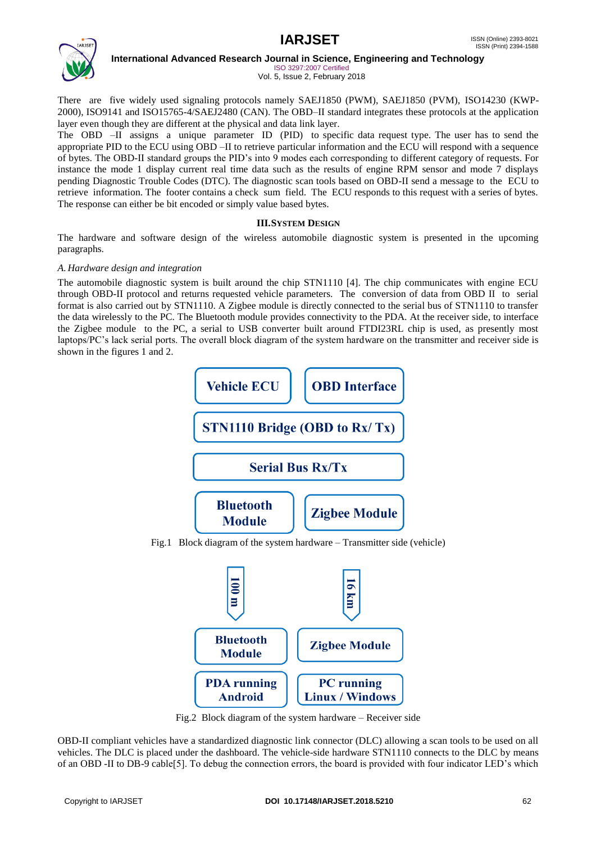

**International Advanced Research Journal in Science, Engineering and Technology**

ISO 3297:2007 Certified Vol. 5, Issue 2, February 2018

There are five widely used signaling protocols namely SAEJ1850 (PWM), SAEJ1850 (PVM), ISO14230 (KWP-2000), ISO9141 and ISO15765-4/SAEJ2480 (CAN). The OBD–II standard integrates these protocols at the application layer even though they are different at the physical and data link layer.

The OBD –II assigns a unique parameter ID (PID) to specific data request type. The user has to send the appropriate PID to the ECU using OBD –II to retrieve particular information and the ECU will respond with a sequence of bytes. The OBD-II standard groups the PID's into 9 modes each corresponding to different category of requests. For instance the mode 1 display current real time data such as the results of engine RPM sensor and mode 7 displays pending Diagnostic Trouble Codes (DTC). The diagnostic scan tools based on OBD-II send a message to the ECU to retrieve information. The footer contains a check sum field. The ECU responds to this request with a series of bytes. The response can either be bit encoded or simply value based bytes.

### **III.SYSTEM DESIGN**

The hardware and software design of the wireless automobile diagnostic system is presented in the upcoming paragraphs.

### *A. Hardware design and integration*

The automobile diagnostic system is built around the chip STN1110 [4]. The chip communicates with engine ECU through OBD-II protocol and returns requested vehicle parameters. The conversion of data from OBD II to serial format is also carried out by STN1110. A Zigbee module is directly connected to the serial bus of STN1110 to transfer the data wirelessly to the PC. The Bluetooth module provides connectivity to the PDA. At the receiver side, to interface the Zigbee module to the PC, a serial to USB converter built around FTDI23RL chip is used, as presently most laptops/PC's lack serial ports. The overall block diagram of the system hardware on the transmitter and receiver side is shown in the figures 1 and 2.



Fig.2 Block diagram of the system hardware – Receiver side

OBD-II compliant vehicles have a standardized diagnostic link connector (DLC) allowing a scan tools to be used on all vehicles. The DLC is placed under the dashboard. The vehicle-side hardware STN1110 connects to the DLC by means of an OBD -II to DB-9 cable[5]. To debug the connection errors, the board is provided with four indicator LED's which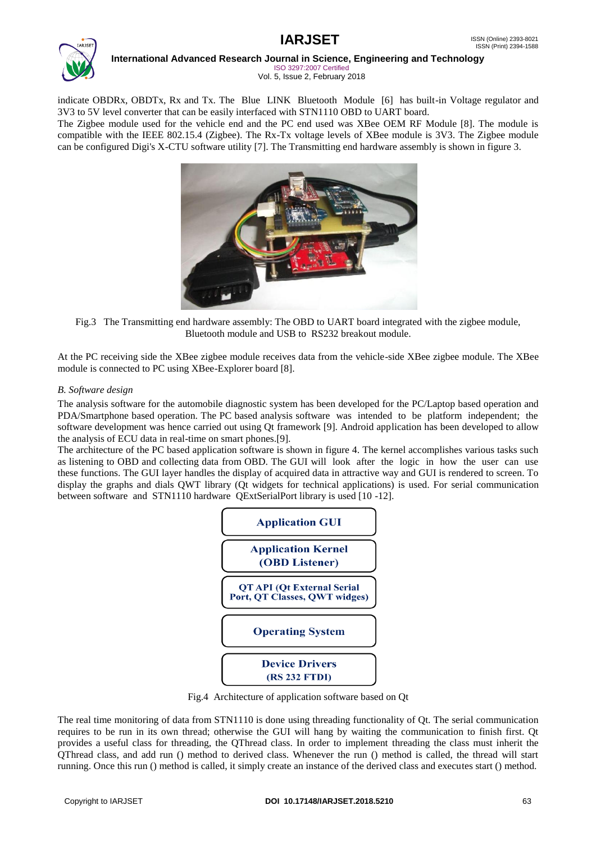

# **International Advanced Research Journal in Science, Engineering and Technology**

ISO 3297:2007 Certified Vol. 5, Issue 2, February 2018

indicate OBDRx, OBDTx, Rx and Tx. The Blue LINK Bluetooth Module [6] has built-in Voltage regulator and 3V3 to 5V level converter that can be easily interfaced with STN1110 OBD to UART board.

The Zigbee module used for the vehicle end and the PC end used was XBee OEM RF Module [8]. The module is compatible with the IEEE 802.15.4 (Zigbee). The Rx-Tx voltage levels of XBee module is 3V3. The Zigbee module can be configured Digi's X-CTU software utility [7]. The Transmitting end hardware assembly is shown in figure 3.



Fig.3 The Transmitting end hardware assembly: The OBD to UART board integrated with the zigbee module, Bluetooth module and USB to RS232 breakout module.

At the PC receiving side the XBee zigbee module receives data from the vehicle-side XBee zigbee module. The XBee module is connected to PC using XBee-Explorer board [8].

### *B. Software design*

The analysis software for the automobile diagnostic system has been developed for the PC/Laptop based operation and PDA/Smartphone based operation. The PC based analysis software was intended to be platform independent; the software development was hence carried out using Qt framework [9]. Android application has been developed to allow the analysis of ECU data in real-time on smart phones.[9].

The architecture of the PC based application software is shown in figure 4. The kernel accomplishes various tasks such as listening to OBD and collecting data from OBD. The GUI will look after the logic in how the user can use these functions. The GUI layer handles the display of acquired data in attractive way and GUI is rendered to screen. To display the graphs and dials QWT library (Qt widgets for technical applications) is used. For serial communication between software and STN1110 hardware QExtSerialPort library is used [10 -12].



Fig.4 Architecture of application software based on Qt

The real time monitoring of data from STN1110 is done using threading functionality of Qt. The serial communication requires to be run in its own thread; otherwise the GUI will hang by waiting the communication to finish first. Qt provides a useful class for threading, the QThread class. In order to implement threading the class must inherit the QThread class, and add run () method to derived class. Whenever the run () method is called, the thread will start running. Once this run () method is called, it simply create an instance of the derived class and executes start () method.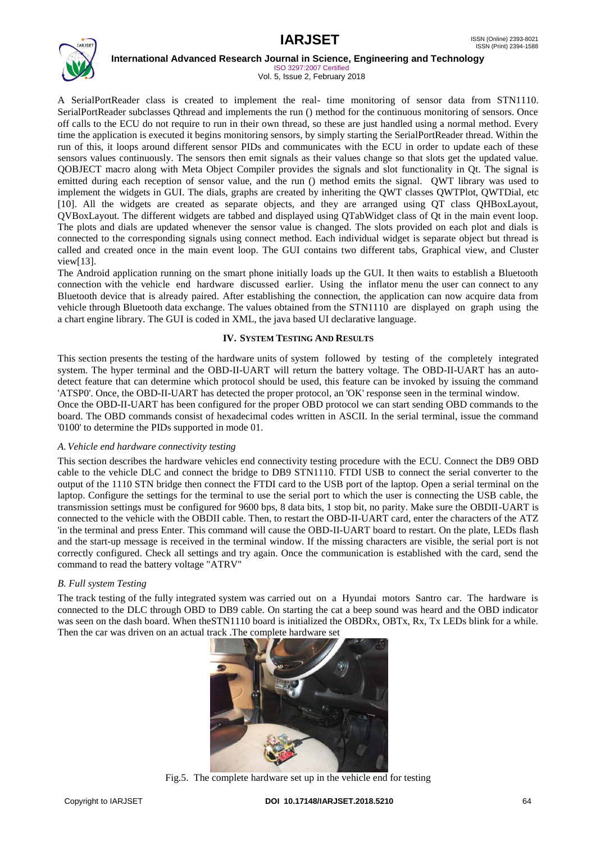

**International Advanced Research Journal in Science, Engineering and Technology**

ISO 3297:2007 Certified Vol. 5, Issue 2, February 2018

A SerialPortReader class is created to implement the real- time monitoring of sensor data from STN1110. SerialPortReader subclasses Qthread and implements the run () method for the continuous monitoring of sensors. Once off calls to the ECU do not require to run in their own thread, so these are just handled using a normal method. Every time the application is executed it begins monitoring sensors, by simply starting the SerialPortReader thread. Within the run of this, it loops around different sensor PIDs and communicates with the ECU in order to update each of these sensors values continuously. The sensors then emit signals as their values change so that slots get the updated value. QOBJECT macro along with Meta Object Compiler provides the signals and slot functionality in Qt. The signal is emitted during each reception of sensor value, and the run () method emits the signal. QWT library was used to implement the widgets in GUI. The dials, graphs are created by inheriting the QWT classes QWTPlot, QWTDial, etc [10]. All the widgets are created as separate objects, and they are arranged using QT class QHBoxLayout, QVBoxLayout. The different widgets are tabbed and displayed using QTabWidget class of Qt in the main event loop. The plots and dials are updated whenever the sensor value is changed. The slots provided on each plot and dials is connected to the corresponding signals using connect method. Each individual widget is separate object but thread is called and created once in the main event loop. The GUI contains two different tabs, Graphical view, and Cluster view[13].

The Android application running on the smart phone initially loads up the GUI. It then waits to establish a Bluetooth connection with the vehicle end hardware discussed earlier. Using the inflator menu the user can connect to any Bluetooth device that is already paired. After establishing the connection, the application can now acquire data from vehicle through Bluetooth data exchange. The values obtained from the STN1110 are displayed on graph using the a chart engine library. The GUI is coded in XML, the java based UI declarative language.

#### **IV. SYSTEM TESTING AND RESULTS**

This section presents the testing of the hardware units of system followed by testing of the completely integrated system. The hyper terminal and the OBD-II-UART will return the battery voltage. The OBD-II-UART has an autodetect feature that can determine which protocol should be used, this feature can be invoked by issuing the command 'ATSP0'. Once, the OBD-II-UART has detected the proper protocol, an 'OK' response seen in the terminal window. Once the OBD-II-UART has been configured for the proper OBD protocol we can start sending OBD commands to the

board. The OBD commands consist of hexadecimal codes written in ASCII. In the serial terminal, issue the command '0100' to determine the PIDs supported in mode 01.

#### *A.Vehicle end hardware connectivity testing*

This section describes the hardware vehicles end connectivity testing procedure with the ECU. Connect the DB9 OBD cable to the vehicle DLC and connect the bridge to DB9 STN1110. FTDI USB to connect the serial converter to the output of the 1110 STN bridge then connect the FTDI card to the USB port of the laptop. Open a serial terminal on the laptop. Configure the settings for the terminal to use the serial port to which the user is connecting the USB cable, the transmission settings must be configured for 9600 bps, 8 data bits, 1 stop bit, no parity. Make sure the OBDII-UART is connected to the vehicle with the OBDII cable. Then, to restart the OBD-II-UART card, enter the characters of the ATZ 'in the terminal and press Enter. This command will cause the OBD-II-UART board to restart. On the plate, LEDs flash and the start-up message is received in the terminal window. If the missing characters are visible, the serial port is not correctly configured. Check all settings and try again. Once the communication is established with the card, send the command to read the battery voltage "ATRV"

#### *B. Full system Testing*

The track testing of the fully integrated system was carried out on a Hyundai motors Santro car. The hardware is connected to the DLC through OBD to DB9 cable. On starting the cat a beep sound was heard and the OBD indicator was seen on the dash board. When the STN1110 board is initialized the OBDRx, OBTx, Rx, Tx LEDs blink for a while. Then the car was driven on an actual track .The complete hardware set



Fig.5. The complete hardware set up in the vehicle end for testing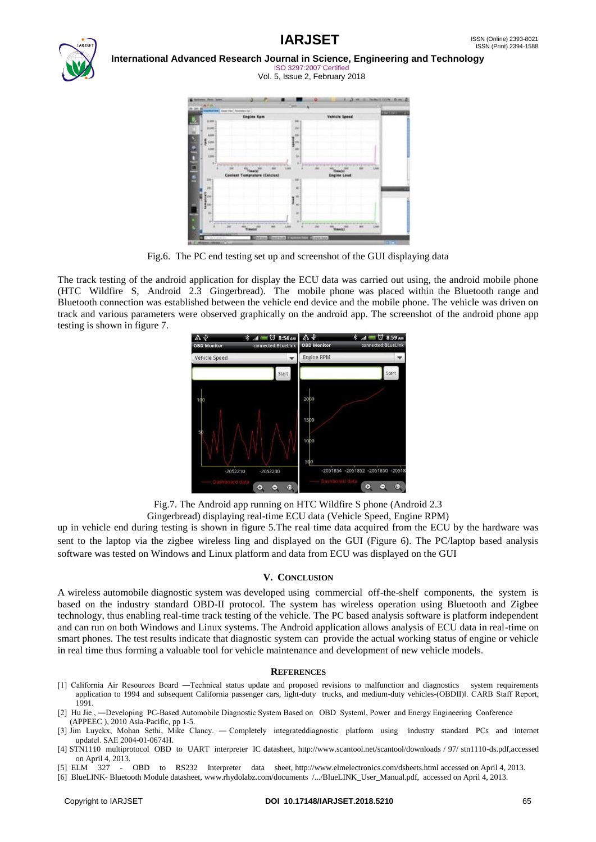



#### **International Advanced Research Journal in Science, Engineering and Technology** ISO 3297:2007 Certified

Vol. 5, Issue 2, February 2018



Fig.6. The PC end testing set up and screenshot of the GUI displaying data

The track testing of the android application for display the ECU data was carried out using, the android mobile phone (HTC Wildfire S, Android 2.3 Gingerbread). The mobile phone was placed within the Bluetooth range and Bluetooth connection was established between the vehicle end device and the mobile phone. The vehicle was driven on track and various parameters were observed graphically on the android app. The screenshot of the android phone app testing is shown in figure 7.



Fig.7. The Android app running on HTC Wildfire S phone (Android 2.3

Gingerbread) displaying real-time ECU data (Vehicle Speed, Engine RPM)

up in vehicle end during testing is shown in figure 5.The real time data acquired from the ECU by the hardware was sent to the laptop via the zigbee wireless ling and displayed on the GUI (Figure 6). The PC/laptop based analysis software was tested on Windows and Linux platform and data from ECU was displayed on the GUI

#### **V. CONCLUSION**

A wireless automobile diagnostic system was developed using commercial off-the-shelf components, the system is based on the industry standard OBD-II protocol. The system has wireless operation using Bluetooth and Zigbee technology, thus enabling real-time track testing of the vehicle. The PC based analysis software is platform independent and can run on both Windows and Linux systems. The Android application allows analysis of ECU data in real-time on smart phones. The test results indicate that diagnostic system can provide the actual working status of engine or vehicle in real time thus forming a valuable tool for vehicle maintenance and development of new vehicle models.

#### **REFERENCES**

- [1] California Air Resources Board —Technical status update and proposed revisions to malfunction and diagnostics system requirements application to 1994 and subsequent California passenger cars, light-duty trucks, and medium-duty vehicles-(OBDII)l. CARB Staff Report, 1991.
- [2] Hu Jie, —Developing PC-Based Automobile Diagnostic System Based on OBD Systeml, Power and Energy Engineering Conference (APPEEC ), 2010 Asia-Pacific, pp 1-5.
- [3] Jim Luyckx, Mohan Sethi, Mike Clancy. ― Completely integrateddiagnostic platform using industry standard PCs and internet update‖. SAE 2004-01-0674H.
- [4] STN1110 multiprotocol OBD to UART interpreter IC datasheet, http://www.scantool.net/scantool/downloads / 97/ stn1110-ds.pdf,accessed on April 4, 2013.
- [5] ELM 327 OBD to RS232 Interpreter data sheet, http://www.elmelectronics.com/dsheets.html accessed on April 4, 2013.
- [6] BlueLINK- Bluetooth Module datasheet, www.rhydolabz.com/documents /.../BlueLINK\_User\_Manual.pdf, accessed on April 4, 2013.

#### Copyright to IARJSET **DOI 10.17148/IARJSET.2018.5210** 65